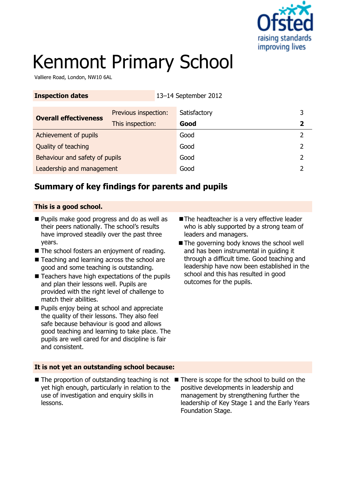

# Kenmont Primary School

**Inspection dates** 13–14 September 2012

Valliere Road, London, NW10 6AL

| THE HOLL NUMBER                | TO THE OCPITION COTS |              |   |
|--------------------------------|----------------------|--------------|---|
| <b>Overall effectiveness</b>   | Previous inspection: | Satisfactory | 3 |
|                                | This inspection:     | Good         |   |
| Achievement of pupils          |                      | Good         |   |
| Quality of teaching            |                      | Good         |   |
| Behaviour and safety of pupils |                      | Good         |   |
| Leadership and management      |                      | Good         |   |

## **Summary of key findings for parents and pupils**

#### **This is a good school.**

- **Pupils make good progress and do as well as** their peers nationally. The school's results have improved steadily over the past three years.
- The school fosters an enjoyment of reading.
- Teaching and learning across the school are good and some teaching is outstanding.
- $\blacksquare$  Teachers have high expectations of the pupils and plan their lessons well. Pupils are provided with the right level of challenge to match their abilities.
- **Pupils enjoy being at school and appreciate** the quality of their lessons. They also feel safe because behaviour is good and allows good teaching and learning to take place. The pupils are well cared for and discipline is fair and consistent.
- The headteacher is a very effective leader who is ably supported by a strong team of leaders and managers.
- The governing body knows the school well and has been instrumental in guiding it through a difficult time. Good teaching and leadership have now been established in the school and this has resulted in good outcomes for the pupils.

#### **It is not yet an outstanding school because:**

- $\blacksquare$  The proportion of outstanding teaching is not  $\blacksquare$  There is scope for the school to build on the yet high enough, particularly in relation to the use of investigation and enquiry skills in lessons.
	- positive developments in leadership and management by strengthening further the leadership of Key Stage 1 and the Early Years Foundation Stage.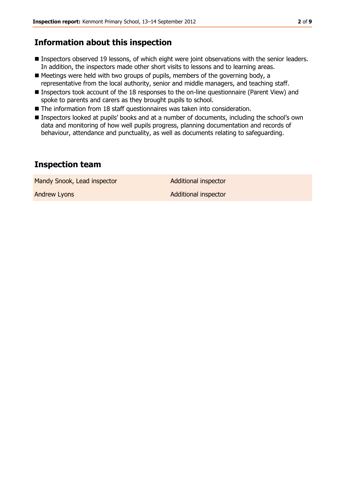## **Information about this inspection**

- **Inspectors observed 19 lessons, of which eight were joint observations with the senior leaders.** In addition, the inspectors made other short visits to lessons and to learning areas.
- Meetings were held with two groups of pupils, members of the governing body, a representative from the local authority, senior and middle managers, and teaching staff.
- Inspectors took account of the 18 responses to the on-line questionnaire (Parent View) and spoke to parents and carers as they brought pupils to school.
- The information from 18 staff questionnaires was taken into consideration.
- Inspectors looked at pupils' books and at a number of documents, including the school's own data and monitoring of how well pupils progress, planning documentation and records of behaviour, attendance and punctuality, as well as documents relating to safeguarding.

#### **Inspection team**

Mandy Snook, Lead inspector and Additional inspector

Andrew Lyons **Additional inspector**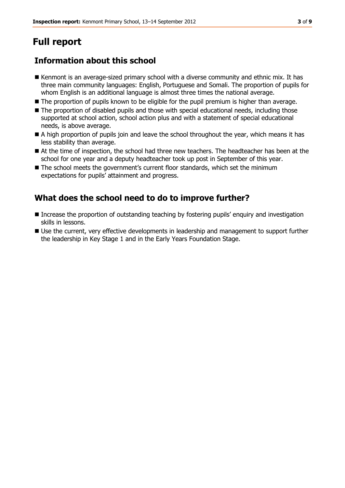# **Full report**

# **Information about this school**

- Kenmont is an average-sized primary school with a diverse community and ethnic mix. It has three main community languages: English, Portuguese and Somali. The proportion of pupils for whom English is an additional language is almost three times the national average.
- The proportion of pupils known to be eligible for the pupil premium is higher than average.
- The proportion of disabled pupils and those with special educational needs, including those supported at school action, school action plus and with a statement of special educational needs, is above average.
- A high proportion of pupils join and leave the school throughout the year, which means it has less stability than average.
- At the time of inspection, the school had three new teachers. The headteacher has been at the school for one year and a deputy headteacher took up post in September of this year.
- The school meets the government's current floor standards, which set the minimum expectations for pupils' attainment and progress.

# **What does the school need to do to improve further?**

- Increase the proportion of outstanding teaching by fostering pupils' enquiry and investigation skills in lessons.
- Use the current, very effective developments in leadership and management to support further the leadership in Key Stage 1 and in the Early Years Foundation Stage.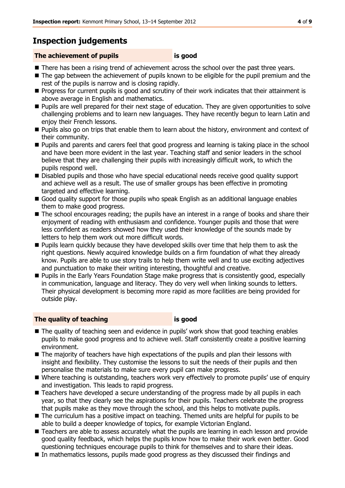# **Inspection judgements**

#### **The achievement of pupils is good**

- There has been a rising trend of achievement across the school over the past three years.
- The gap between the achievement of pupils known to be eligible for the pupil premium and the rest of the pupils is narrow and is closing rapidly.
- **Progress for current pupils is good and scrutiny of their work indicates that their attainment is** above average in English and mathematics.
- **Pupils are well prepared for their next stage of education. They are given opportunities to solve** challenging problems and to learn new languages. They have recently begun to learn Latin and enjoy their French lessons.
- **Pupils also go on trips that enable them to learn about the history, environment and context of** their community.
- **Pupils and parents and carers feel that good progress and learning is taking place in the school** and have been more evident in the last year. Teaching staff and senior leaders in the school believe that they are challenging their pupils with increasingly difficult work, to which the pupils respond well.
- Disabled pupils and those who have special educational needs receive good quality support and achieve well as a result. The use of smaller groups has been effective in promoting targeted and effective learning.
- Good quality support for those pupils who speak English as an additional language enables them to make good progress.
- The school encourages reading; the pupils have an interest in a range of books and share their enjoyment of reading with enthusiasm and confidence. Younger pupils and those that were less confident as readers showed how they used their knowledge of the sounds made by letters to help them work out more difficult words.
- **Pupils learn quickly because they have developed skills over time that help them to ask the** right questions. Newly acquired knowledge builds on a firm foundation of what they already know. Pupils are able to use story trails to help them write well and to use exciting adjectives and punctuation to make their writing interesting, thoughtful and creative.
- **Pupils in the Early Years Foundation Stage make progress that is consistently good, especially** in communication, language and literacy. They do very well when linking sounds to letters. Their physical development is becoming more rapid as more facilities are being provided for outside play.

#### **The quality of teaching is good**

- $\blacksquare$  The quality of teaching seen and evidence in pupils' work show that good teaching enables pupils to make good progress and to achieve well. Staff consistently create a positive learning environment.
- The majority of teachers have high expectations of the pupils and plan their lessons with insight and flexibility. They customise the lessons to suit the needs of their pupils and then personalise the materials to make sure every pupil can make progress.
- Where teaching is outstanding, teachers work very effectively to promote pupils' use of enquiry and investigation. This leads to rapid progress.
- Teachers have developed a secure understanding of the progress made by all pupils in each year, so that they clearly see the aspirations for their pupils. Teachers celebrate the progress that pupils make as they move through the school, and this helps to motivate pupils.
- The curriculum has a positive impact on teaching. Themed units are helpful for pupils to be able to build a deeper knowledge of topics, for example Victorian England.
- Teachers are able to assess accurately what the pupils are learning in each lesson and provide good quality feedback, which helps the pupils know how to make their work even better. Good questioning techniques encourage pupils to think for themselves and to share their ideas.
- In mathematics lessons, pupils made good progress as they discussed their findings and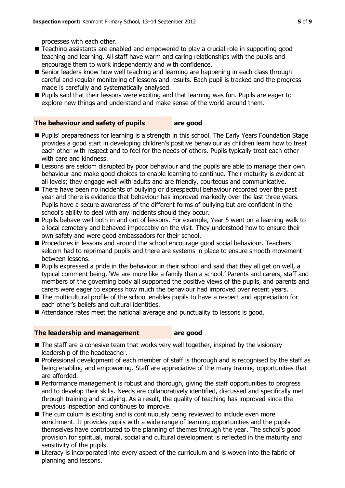processes with each other.

- Teaching assistants are enabled and empowered to play a crucial role in supporting good teaching and learning. All staff have warm and caring relationships with the pupils and encourage them to work independently and with confidence.
- Senior leaders know how well teaching and learning are happening in each class through careful and regular monitoring of lessons and results. Each pupil is tracked and the progress made is carefully and systematically analysed.
- **Pupils said that their lessons were exciting and that learning was fun. Pupils are eager to Pupils** explore new things and understand and make sense of the world around them.

#### **The behaviour and safety of pupils are good**

- **Pupils' preparedness for learning is a strength in this school. The Early Years Foundation Stage** provides a good start in developing children's positive behaviour as children learn how to treat each other with respect and to feel for the needs of others. Pupils typically treat each other with care and kindness.
- **E** Lessons are seldom disrupted by poor behaviour and the pupils are able to manage their own behaviour and make good choices to enable learning to continue. Their maturity is evident at all levels; they engage well with adults and are friendly, courteous and communicative.
- There have been no incidents of bullying or disrespectful behaviour recorded over the past year and there is evidence that behaviour has improved markedly over the last three years. Pupils have a secure awareness of the different forms of bullying but are confident in the school's ability to deal with any incidents should they occur.
- Pupils behave well both in and out of lessons. For example, Year 5 went on a learning walk to a local cemetery and behaved impeccably on the visit. They understood how to ensure their own safety and were good ambassadors for their school.
- **Procedures in lessons and around the school encourage good social behaviour. Teachers** seldom had to reprimand pupils and there are systems in place to ensure smooth movement between lessons.
- Pupils expressed a pride in the behaviour in their school and said that they all get on well, a typical comment being, 'We are more like a family than a school.' Parents and carers, staff and members of the governing body all supported the positive views of the pupils, and parents and carers were eager to express how much the behaviour had improved over recent years.
- $\blacksquare$  The multicultural profile of the school enables pupils to have a respect and appreciation for each other's beliefs and cultural identities.
- Attendance rates meet the national average and punctuality to lessons is good.

#### **The leadership and management are good**

- The staff are a cohesive team that works very well together, inspired by the visionary leadership of the headteacher.
- **Professional development of each member of staff is thorough and is recognised by the staff as** being enabling and empowering. Staff are appreciative of the many training opportunities that are afforded.
- **Performance management is robust and thorough, giving the staff opportunities to progress** and to develop their skills. Needs are collaboratively identified, discussed and specifically met through training and studying. As a result, the quality of teaching has improved since the previous inspection and continues to improve.
- The curriculum is exciting and is continuously being reviewed to include even more enrichment. It provides pupils with a wide range of learning opportunities and the pupils themselves have contributed to the planning of themes through the year. The school's good provision for spiritual, moral, social and cultural development is reflected in the maturity and sensitivity of the pupils.
- Literacy is incorporated into every aspect of the curriculum and is woven into the fabric of planning and lessons.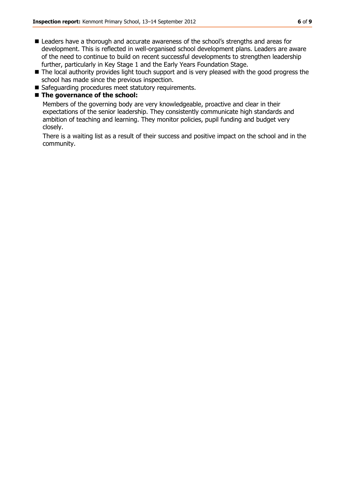- Leaders have a thorough and accurate awareness of the school's strengths and areas for development. This is reflected in well-organised school development plans. Leaders are aware of the need to continue to build on recent successful developments to strengthen leadership further, particularly in Key Stage 1 and the Early Years Foundation Stage.
- The local authority provides light touch support and is very pleased with the good progress the school has made since the previous inspection.
- Safeguarding procedures meet statutory requirements.

#### ■ The governance of the school:

Members of the governing body are very knowledgeable, proactive and clear in their expectations of the senior leadership. They consistently communicate high standards and ambition of teaching and learning. They monitor policies, pupil funding and budget very closely.

There is a waiting list as a result of their success and positive impact on the school and in the community.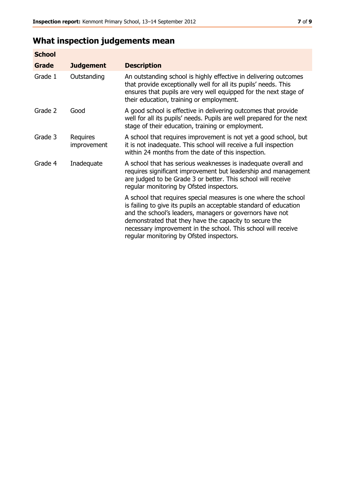# **What inspection judgements mean**

| <b>School</b> |                         |                                                                                                                                                                                                                                                                                                                                                                         |
|---------------|-------------------------|-------------------------------------------------------------------------------------------------------------------------------------------------------------------------------------------------------------------------------------------------------------------------------------------------------------------------------------------------------------------------|
| <b>Grade</b>  | <b>Judgement</b>        | <b>Description</b>                                                                                                                                                                                                                                                                                                                                                      |
| Grade 1       | Outstanding             | An outstanding school is highly effective in delivering outcomes<br>that provide exceptionally well for all its pupils' needs. This<br>ensures that pupils are very well equipped for the next stage of<br>their education, training or employment.                                                                                                                     |
| Grade 2       | Good                    | A good school is effective in delivering outcomes that provide<br>well for all its pupils' needs. Pupils are well prepared for the next<br>stage of their education, training or employment.                                                                                                                                                                            |
| Grade 3       | Requires<br>improvement | A school that requires improvement is not yet a good school, but<br>it is not inadequate. This school will receive a full inspection<br>within 24 months from the date of this inspection.                                                                                                                                                                              |
| Grade 4       | Inadequate              | A school that has serious weaknesses is inadequate overall and<br>requires significant improvement but leadership and management<br>are judged to be Grade 3 or better. This school will receive<br>regular monitoring by Ofsted inspectors.                                                                                                                            |
|               |                         | A school that requires special measures is one where the school<br>is failing to give its pupils an acceptable standard of education<br>and the school's leaders, managers or governors have not<br>demonstrated that they have the capacity to secure the<br>necessary improvement in the school. This school will receive<br>regular monitoring by Ofsted inspectors. |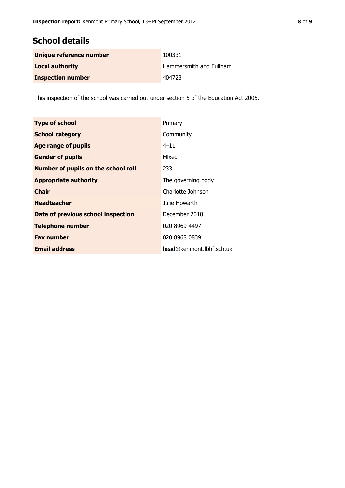# **School details**

| Unique reference number  | 100331                  |
|--------------------------|-------------------------|
| <b>Local authority</b>   | Hammersmith and Fullham |
| <b>Inspection number</b> | 404723                  |

This inspection of the school was carried out under section 5 of the Education Act 2005.

| <b>Type of school</b>                      | Primary                  |
|--------------------------------------------|--------------------------|
| <b>School category</b>                     | Community                |
| <b>Age range of pupils</b>                 | $4 - 11$                 |
| <b>Gender of pupils</b>                    | Mixed                    |
| <b>Number of pupils on the school roll</b> | 233                      |
| <b>Appropriate authority</b>               | The governing body       |
| <b>Chair</b>                               | Charlotte Johnson        |
| <b>Headteacher</b>                         | Julie Howarth            |
| Date of previous school inspection         | December 2010            |
| <b>Telephone number</b>                    | 020 8969 4497            |
| <b>Fax number</b>                          | 020 8968 0839            |
| <b>Email address</b>                       | head@kenmont.lbhf.sch.uk |